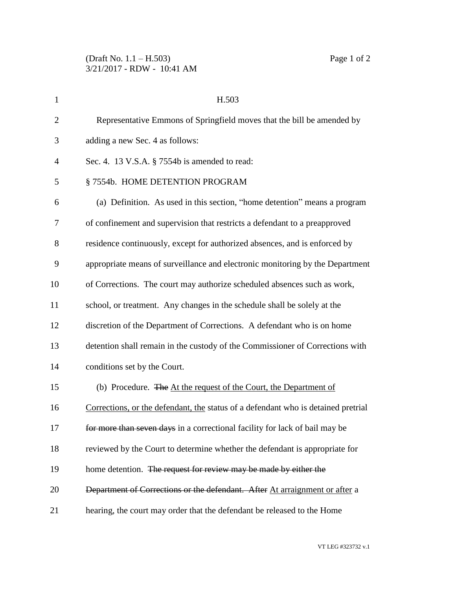| $\mathbf{1}$   | H.503                                                                             |
|----------------|-----------------------------------------------------------------------------------|
| $\overline{2}$ | Representative Emmons of Springfield moves that the bill be amended by            |
| 3              | adding a new Sec. 4 as follows:                                                   |
| $\overline{4}$ | Sec. 4. 13 V.S.A. § 7554b is amended to read:                                     |
| 5              | §7554b. HOME DETENTION PROGRAM                                                    |
| 6              | (a) Definition. As used in this section, "home detention" means a program         |
| 7              | of confinement and supervision that restricts a defendant to a preapproved        |
| 8              | residence continuously, except for authorized absences, and is enforced by        |
| 9              | appropriate means of surveillance and electronic monitoring by the Department     |
| 10             | of Corrections. The court may authorize scheduled absences such as work,          |
| 11             | school, or treatment. Any changes in the schedule shall be solely at the          |
| 12             | discretion of the Department of Corrections. A defendant who is on home           |
| 13             | detention shall remain in the custody of the Commissioner of Corrections with     |
| 14             | conditions set by the Court.                                                      |
| 15             | (b) Procedure. The At the request of the Court, the Department of                 |
| 16             | Corrections, or the defendant, the status of a defendant who is detained pretrial |
| 17             | for more than seven days in a correctional facility for lack of bail may be       |
| 18             | reviewed by the Court to determine whether the defendant is appropriate for       |
| 19             | home detention. The request for review may be made by either the                  |
| 20             | Department of Corrections or the defendant. After At arraignment or after a       |
| 21             | hearing, the court may order that the defendant be released to the Home           |

VT LEG #323732 v.1